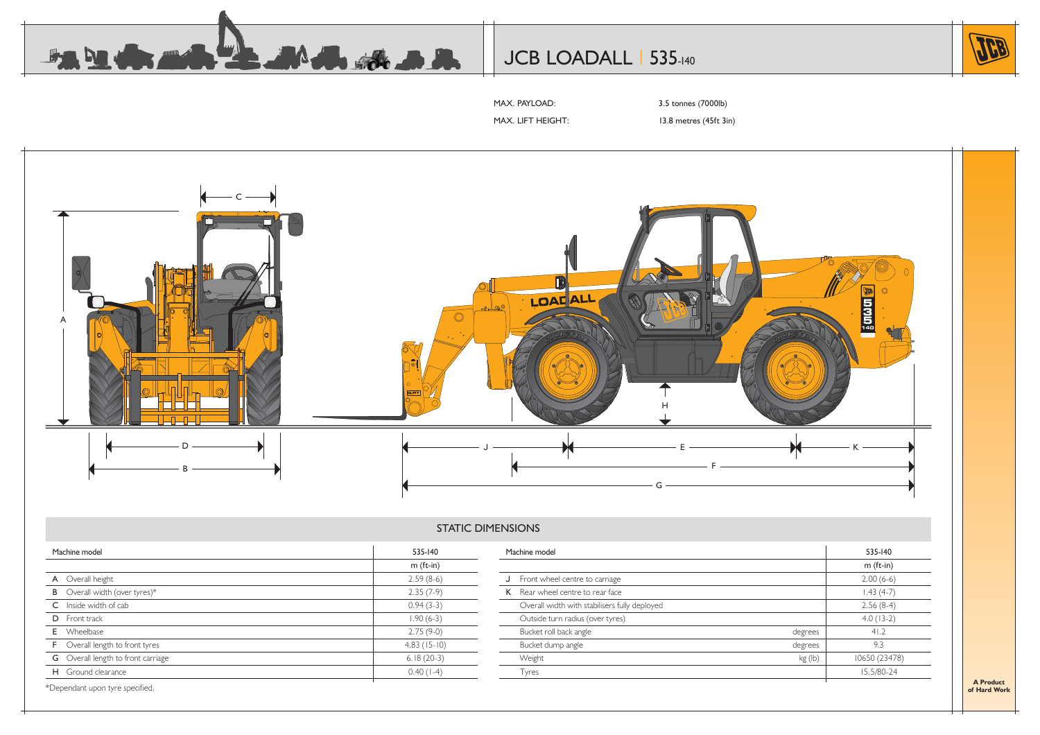

# JCB LOADALL | 535-140



MAX. PAYLOAD: 3.5 tonnes (7000lb)

MAX. LIFT HEIGHT: 13.8 metres (45ft 3in)



#### STATIC DIMENSIONS

| Machine model                             | 535-140       | Machine model                                 |         | 535-140       |
|-------------------------------------------|---------------|-----------------------------------------------|---------|---------------|
|                                           | $m$ (ft-in)   |                                               |         | $m$ (ft-in)   |
| A Overall height                          | $2.59(8-6)$   | J Front wheel centre to carriage              |         | $2.00(6-6)$   |
| <b>B</b> Overall width (over tyres)*      | $2.35(7-9)$   | K Rear wheel centre to rear face              |         | $1.43(4-7)$   |
| C Inside width of cab                     | $0.94(3-3)$   | Overall width with stabilisers fully deployed |         | $2.56(8-4)$   |
| D Front track                             | $1.90(6-3)$   | Outside turn radius (over tyres)              |         | $4.0(13-2)$   |
| <b>E</b> Wheelbase                        | $2.75(9-0)$   | Bucket roll back angle                        | degrees | 41.2          |
| <b>F</b> Overall length to front tyres    | $4.83(15-10)$ | Bucket dump angle                             | degrees | 9.3           |
| <b>G</b> Overall length to front carriage | $6.18(20-3)$  | Weight                                        | kg (lb) | 10650 (23478) |
| H Ground clearance                        | $0.40(1-4)$   | <b>Tyres</b>                                  |         | 15.5/80-24    |

\*Dependant upon tyre specified.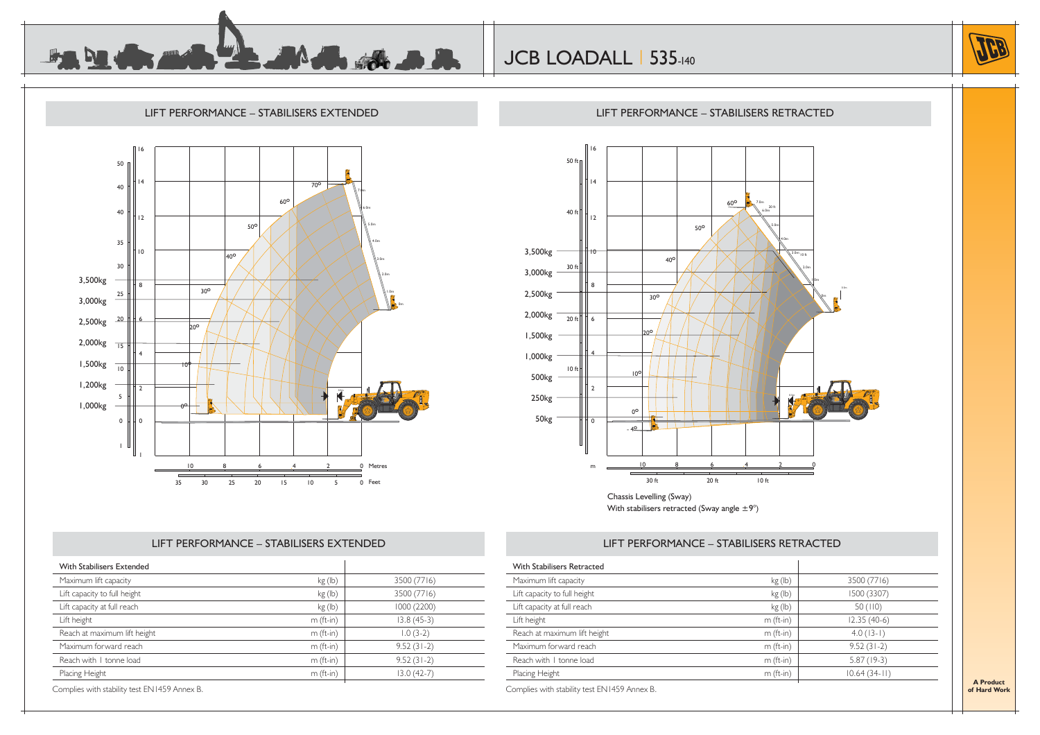





### LIFT PERFORMANCE – STABILISERS RETRACTED



With stabilisers retracted (Sway angle  $\pm 9^{\circ}$ )

## LIFT PERFORMANCE – STABILISERS RETRACTED

| With Stabilisers Extended    |             |              |
|------------------------------|-------------|--------------|
| Maximum lift capacity        | kg(h)       | 3500 (7716)  |
| Lift capacity to full height | kg(h)       | 3500 (7716)  |
| Lift capacity at full reach  | kg (lb)     | 1000 (2200)  |
| Lift height                  | $m$ (ft-in) | $13.8(45-3)$ |
| Reach at maximum lift height | $m$ (ft-in) | $1.0(3-2)$   |
| Maximum forward reach        | $m$ (ft-in) | $9.52(31-2)$ |
| Reach with I tonne load      | $m$ (ft-in) | $9.52(31-2)$ |
| Placing Height               | $m$ (ft-in) | $13.0(42-7)$ |

LIFT PERFORMANCE – STABILISERS EXTENDED

Complies with stability test EN1459 Annex B.

### With Stabilisers RetractedMaximum lift capacity and the state of the state of the state of the state of the state of the state of the state of the state of the state of the state of the state of the state of the state of the state of the state of t Lift capacity to full height  $\log$  (lb)  $\log$  (lb) 1500 (3307) Lift capacity at full reach  $\log$  (lb)  $\qquad$  50 (110)  $\frac{1}{2.35}$  (40-6)  $\frac{1}{2.35}$  (40-6) Reach at maximum lift height m (ft-in) m (ft-in) 4.0 (13-1) Maximum forward reach m (ft-in)  $\vert$  9.52 (31-2) Reach with 1 tonne load m  $(m \text{ (ft-in)}$  5.87 (19-3) Placing Height m (ft-in) 10.64 (34-11) Complies with stability test EN1459 Annex B.

**A Productof Hard Work**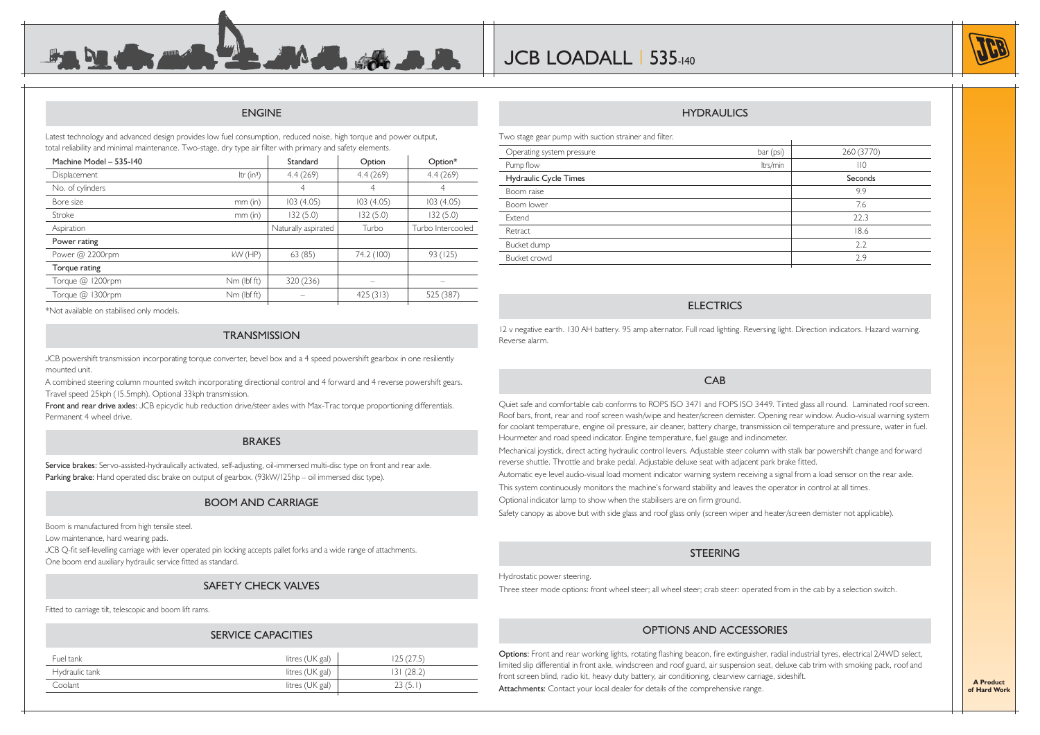# ENGINE

 $\blacktriangle$  and  $\blacktriangle$  and

Latest technology and advanced design provides low fuel consumption, reduced noise, high torque and power output, total reliability and minimal maintenance. Two-stage, dry type air filter with primary and safety elements.

**Comment of the Comment of The Comment of The Comment of The Comment of The Comment of The Comment of The Comment of The Comment of The Comment of The Comment of The Comment of The Comment of The Comment of The Comment of** 

| Machine Model - 535-140 |              | Standard            | Option     | Option*           |
|-------------------------|--------------|---------------------|------------|-------------------|
| Displacement            | Itr $(in^3)$ | 4.4(269)            | 4.4(269)   | 4.4(269)          |
| No. of cylinders        |              | 4                   | 4          | 4                 |
| Bore size               | $mm$ (in)    | 103(4.05)           | 103(4.05)  | 103(4.05)         |
| Stroke                  | $mm$ (in)    | 132(5.0)            | 132(5.0)   | 132(5.0)          |
| Aspiration              |              | Naturally aspirated | Turbo      | Turbo Intercooled |
| Power rating            |              |                     |            |                   |
| Power @ 2200rpm         | kW (HP)      | 63(85)              | 74.2 (100) | 93 (125)          |
| Torque rating           |              |                     |            |                   |
| Torque @ 1200rpm        | Nm (lbf ft)  | 320 (236)           |            |                   |
| Torque @ 1300rpm        | Nm (lbf ft)  |                     | 425(313)   | 525 (387)         |
|                         |              |                     |            |                   |

\*Not available on stabilised only models.

#### **TRANSMISSION**

JCB powershift transmission incorporating torque converter, bevel box and a 4 speed powershift gearbox in one resiliently mounted unit.

A combined steering column mounted switch incorporating directional control and 4 forward and 4 reverse powershift gears. Travel speed 25kph (15.5mph). Optional 33kph transmission.

**Front and rear drive axles:** JCB epicyclic hub reduction drive/steer axles with Max-Trac torque proportioning differentials. Permanent 4 wheel drive.

#### **BRAKES**

**Service brakes:** Servo-assisted-hydraulically activated, self-adjusting, oil-immersed multi-disc type on front and rear axle. Parking brake: Hand operated disc brake on output of gearbox. (93kW/125hp - oil immersed disc type).

#### BOOM AND CARRIAGE

Boom is manufactured from high tensile steel.

Low maintenance, hard wearing pads.

JCB Q-fit self-levelling carriage with lever operated pin locking accepts pallet forks and a wide range of attachments. One boom end auxiliary hydraulic service fitted as standard.

#### SAFETY CHECK VALVES

Fitted to carriage tilt, telescopic and boom lift rams.

#### SERVICE CAPACITIES

| Fuel tank      | litres (UK gal) | .25 (27.5) |
|----------------|-----------------|------------|
| Hydraulic tank | litres (UK gal) | 131(28.2)  |
| Coolant        | litres (UK gal) | 23(5.1)    |
|                |                 |            |

#### HYDRAULICS

Two stage gear pump with suction strainer and filter.

| Operating system pressure | bar (psi) | 260 (3770)     |
|---------------------------|-----------|----------------|
| Pump flow                 | ltrs/min  | $\mathsf{H}^0$ |
| Hydraulic Cycle Times     |           | Seconds        |
| Boom raise                |           | 9.9            |
| Boom lower                |           | 7.6            |
| Extend                    |           | 22.3           |
| Retract                   |           | 18.6           |
| Bucket dump               |           | 2.2            |
| Bucket crowd              |           | 2.9            |
|                           |           |                |

#### **ELECTRICS**

12 v negative earth. 130 AH battery. 95 amp alternator. Full road lighting. Reversing light. Direction indicators. Hazard warning. Reverse alarm.

#### CAB

Quiet safe and comfortable cab conforms to ROPS ISO 3471 and FOPS ISO 3449. Tinted glass all round. Laminated roof screen. Roof bars, front, rear and roof screen wash/wipe and heater/screen demister. Opening rear window. Audio-visual warning system for coolant temperature, engine oil pressure, air cleaner, battery charge, transmission oil temperature and pressure, water in fuel. Hourmeter and road speed indicator. Engine temperature, fuel gauge and inclinometer.

Mechanical joystick, direct acting hydraulic control levers. Adjustable steer column with stalk bar powershift change and forward reverse shuttle. Throttle and brake pedal. Adjustable deluxe seat with adjacent park brake fitted.

Automatic eye level audio-visual load moment indicator warning system receiving a signal from a load sensor on the rear axle.

This system continuously monitors the machine's forward stability and leaves the operator in control at all times.

Optional indicator lamp to show when the stabilisers are on firm ground.

Safety canopy as above but with side glass and roof glass only (screen wiper and heater/screen demister not applicable).

#### **STEERING**

Hydrostatic power steering.

Three steer mode options: front wheel steer; all wheel steer; crab steer: operated from in the cab by a selection switch.

#### OPTIONS AND ACCESSORIES

Options: Front and rear working lights, rotating flashing beacon, fire extinguisher, radial industrial tyres, electrical 2/4WD select, limited slip differential in front axle, windscreen and roof guard, air suspension seat, deluxe cab trim with smoking pack, roof and front screen blind, radio kit, heavy duty battery, air conditioning, clearview carriage, sideshift. Attachments: Contact your local dealer for details of the comprehensive range.